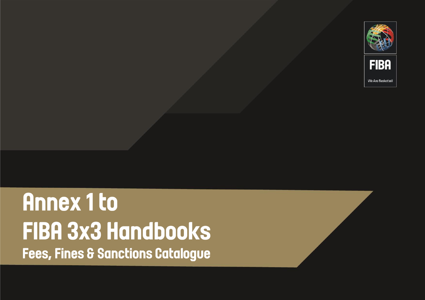

## **Annex 1 to FIBA 3x3 Handbooks Fees, Fines & Sanctions Catalogue**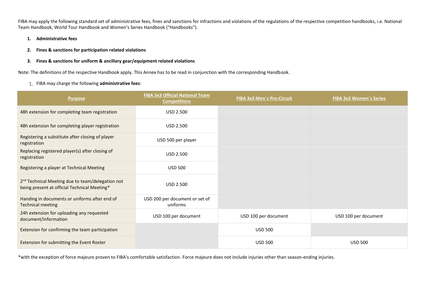FIBA may apply the following standard set of administrative fees, fines and sanctions for infractions and violations of the regulations of the respective competition handbooks, i.e. National Team Handbook, World Tour Handbook and Women's Series Handbook ("Handbooks").

- **1. Administrative fees**
- **2. Fines & sanctions for participation related violations**
- **3. Fines & sanctions for uniform & ancillary gear/equipment related violations**

Note: The definitions of the respective Handbook apply. This Annex has to be read in conjunction with the corresponding Handbook.

## FIBA may charge the following **administrative fees**:

| <b>Purpose</b>                                                                                               | <b>FIBA 3x3 Official National Team</b><br><b>Competitions</b> | <b>FIBA 3x3 Men's Pro-Circuit</b> | <b>FIBA 3x3 Women's Series</b> |
|--------------------------------------------------------------------------------------------------------------|---------------------------------------------------------------|-----------------------------------|--------------------------------|
| 48h extension for completing team registration                                                               | USD 2.500                                                     |                                   |                                |
| 48h extension for completing player registration                                                             | USD 2.500                                                     |                                   |                                |
| Registering a substitute after closing of player<br>registration                                             | USD 500 per player                                            |                                   |                                |
| Replacing registered player(s) after closing of<br>registration                                              | <b>USD 2.500</b>                                              |                                   |                                |
| Registering a player at Technical Meeting                                                                    | <b>USD 500</b>                                                |                                   |                                |
| 2 <sup>nd</sup> Technical Meeting due to team/delegation not<br>being present at official Technical Meeting* | <b>USD 2.500</b>                                              |                                   |                                |
| Handing in documents or uniforms after end of<br><b>Technical meeting</b>                                    | USD 200 per document or set of<br>uniforms                    |                                   |                                |
| 24h extension for uploading any requested<br>document/information                                            | USD 100 per document                                          | USD 100 per document              | USD 100 per document           |
| Extension for confirming the team participation                                                              |                                                               | <b>USD 500</b>                    |                                |
| Extension for submitting the Event Roster                                                                    |                                                               | <b>USD 500</b>                    | <b>USD 500</b>                 |

\*with the exception of force majeure proven to FIBA's comfortable satisfaction. Force majeure does not include injuries other than season-ending injuries.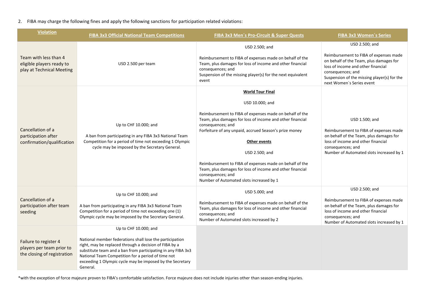## 2. FIBA may charge the following fines and apply the following sanctions for participation related violations:

| <b>Violation</b>                                                                  | <b>FIBA 3x3 Official National Team Competitions</b>                                                                                                                                                                                                                                                               | <b>FIBA 3x3 Men's Pro-Circuit &amp; Super Quests</b>                                                                                                                                                                                                                                                                                                                                                                           | <b>FIBA 3x3 Women's Series</b>                                                                                                                                                                                           |
|-----------------------------------------------------------------------------------|-------------------------------------------------------------------------------------------------------------------------------------------------------------------------------------------------------------------------------------------------------------------------------------------------------------------|--------------------------------------------------------------------------------------------------------------------------------------------------------------------------------------------------------------------------------------------------------------------------------------------------------------------------------------------------------------------------------------------------------------------------------|--------------------------------------------------------------------------------------------------------------------------------------------------------------------------------------------------------------------------|
|                                                                                   |                                                                                                                                                                                                                                                                                                                   | USD 2.500; and                                                                                                                                                                                                                                                                                                                                                                                                                 | USD 2.500; and                                                                                                                                                                                                           |
| Team with less than 4<br>eligible players ready to<br>play at Technical Meeting   | USD 2.500 per team                                                                                                                                                                                                                                                                                                | Reimbursement to FIBA of expenses made on behalf of the<br>Team, plus damages for loss of income and other financial<br>consequences; and<br>Suspension of the missing player(s) for the next equivalent<br>event                                                                                                                                                                                                              | Reimbursement to FIBA of expenses made<br>on behalf of the Team, plus damages for<br>loss of income and other financial<br>consequences; and<br>Suspension of the missing player(s) for the<br>next Women's Series event |
| Cancellation of a<br>participation after<br>confirmation/qualification            |                                                                                                                                                                                                                                                                                                                   | <b>World Tour Final</b>                                                                                                                                                                                                                                                                                                                                                                                                        |                                                                                                                                                                                                                          |
|                                                                                   |                                                                                                                                                                                                                                                                                                                   | USD 10.000; and                                                                                                                                                                                                                                                                                                                                                                                                                |                                                                                                                                                                                                                          |
|                                                                                   | Up to CHF 10.000; and<br>A ban from participating in any FIBA 3x3 National Team<br>Competition for a period of time not exceeding 1 Olympic<br>cycle may be imposed by the Secretary General.                                                                                                                     | Reimbursement to FIBA of expenses made on behalf of the<br>Team, plus damages for loss of income and other financial<br>consequences; and<br>Forfeiture of any unpaid, accrued Season's prize money<br>Other events<br>USD 2.500; and<br>Reimbursement to FIBA of expenses made on behalf of the<br>Team, plus damages for loss of income and other financial<br>consequences; and<br>Number of Automated slots increased by 1 | USD 1.500; and<br>Reimbursement to FIBA of expenses made<br>on behalf of the Team, plus damages for<br>loss of income and other financial<br>consequences; and<br>Number of Automated slots increased by 1               |
| Cancellation of a<br>participation after team<br>seeding                          | Up to CHF 10.000; and                                                                                                                                                                                                                                                                                             | USD 5.000; and                                                                                                                                                                                                                                                                                                                                                                                                                 | USD 2.500; and                                                                                                                                                                                                           |
|                                                                                   | A ban from participating in any FIBA 3x3 National Team<br>Competition for a period of time not exceeding one (1)<br>Olympic cycle may be imposed by the Secretary General.                                                                                                                                        | Reimbursement to FIBA of expenses made on behalf of the<br>Team, plus damages for loss of income and other financial<br>consequences; and<br>Number of Automated slots increased by 2                                                                                                                                                                                                                                          | Reimbursement to FIBA of expenses made<br>on behalf of the Team, plus damages for<br>loss of income and other financial<br>consequences; and<br>Number of Automated slots increased by 1                                 |
| Failure to register 4<br>players per team prior to<br>the closing of registration | Up to CHF 10.000; and                                                                                                                                                                                                                                                                                             |                                                                                                                                                                                                                                                                                                                                                                                                                                |                                                                                                                                                                                                                          |
|                                                                                   | National member federations shall lose the participation<br>right, may be replaced through a decision of FIBA by a<br>substitute team and a ban from participating in any FIBA 3x3<br>National Team Competition for a period of time not<br>exceeding 1 Olympic cycle may be imposed by the Secretary<br>General. |                                                                                                                                                                                                                                                                                                                                                                                                                                |                                                                                                                                                                                                                          |

\*with the exception of force majeure proven to FIBA's comfortable satisfaction. Force majeure does not include injuries other than season-ending injuries.